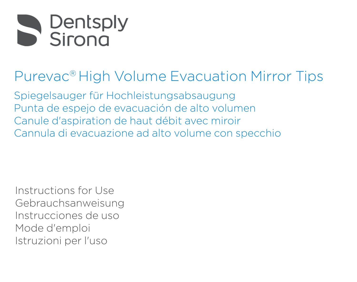

# Purevac® High Volume Evacuation Mirror Tips

Spiegelsauger für Hochleistungsabsaugung Punta de espejo de evacuación de alto volumen Canule d'aspiration de haut débit avec miroir Cannula di evacuazione ad alto volume con specchio

Instructions for Use Gebrauchsanweisung Instrucciones de uso Mode d'emploi Istruzioni per l'uso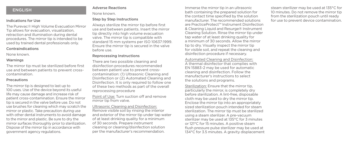# ENGLISH

# Indications for Use

The Purevac® High Volume Evacuation Mirror Tip allows for evacuation, visualization, retraction and illumination during dental procedures. The mirror tip is intended to be used by trained dental professionals only.

# Contraindications

None known.

## **Warnings**

The mirror tip must be sterilized before first use and between patients to prevent crosscontamination.

#### Precautions

The mirror tip is designed to last up to 100 uses. Use of the device beyond its useful life may cause damage and increase risk of patient cross-contamination. Ensure the mirror tip is secured in the valve before use. Do not use brushes for cleaning which may scratch the mirror or plastic. Take precaution during use with other dental instruments to avoid damage to the mirror and plastic. Be sure to dry the mirror surfaces thoroughly prior to sterilization. Dispose of the mirror tip in accordance with government agency regulations.

# Adverse Reactions

None known.

# Step by Step Instructions

Always sterilize the mirror tip before first use and between patients. Insert the mirror tip directly into high volume evacuation valve. The mirror tip is compatible with standard 15 mm systems per ISO 10637:1999. Ensure the mirror tip is secured in the valve before use.

#### Reprocessing Instructions

There are two possible cleaning and disinfection procedures recommended between patient use to prevent crosscontamination: (1) Ultrasonic Cleaning and Disinfection or (2) Automated Cleaning and Disinfection. It is only required to follow one of these two methods as part of the overall reprocessing procedure

Point of Use: Turn suction off and remove mirror tip from valve.

Ultrasonic Cleaning and Disinfection: Remove visible soil by rinsing the interior and exterior of the mirror tip under tap water of at least drinking quality for a minimum of 30 seconds. Prepare instrument cleaning or cleaning/disinfection solution per the manufacturer's recommendation.

Immerse the mirror tip in an ultrasonic bath containing the prepared solution for the contact time specified by the solution manufacturer. The recommended solutions are PracticeProtect™ Instrument Disinfection & Cleaning Liquid and Resurge® Instrument Cleaning Solution. Rinse the mirror tip under tap water of at least drinking quality for a minimum of 30 seconds. Allow the mirror tip to dry. Visually inspect the mirror tip for visible soil, and repeat the cleaning and disinfection procedure if necessary.

Automated Cleaning and Disinfection: A thermal disinfector that complies with EN 15883-2 may be used for automatic cleaning and disinfection. Follow the manufacturer's instructions to select the solutions and programs.

Sterilization: Ensure that the mirror tip, particularly the mirror, is completely dry before sterilization. A lint-free, disposable cloth may be used to dry the mirror tip. Enclose the mirror tip into an appropriately sized sterilization pouch intended for steam sterilization. The mirror tip must be sterilized using a steam sterilizer. A pre-vacuum sterilizer may be used at 135°C for 3 minutes or 121°C for 15 minutes. A positive steam flush pressure pulse sterilizer may be used at 134°C for 3.5 minutes. A gravity displacement steam sterilizer may be used at 135°C for 10 minutes. Do not remove the mirror tip from the sterilization pouch until ready for use to prevent device contamination.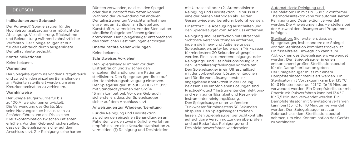# **DEUTSCH**

# Indikationen zum Gebrauch

Der Purevac® Spiegelsauger für die Hochleistungsabsaugung ermöglicht die Absaugung, Visualisierung, Rücknahme und Beleuchtung während zahnärztlicher Verfahren. Der Spiegelsauger ist nur für den Gebrauch durch ausgebildete Dentalfachleute gedacht.

# Kontraindikationen

Keine bekannt.

#### Warnungen

Der Spiegelsauger muss vor dem Erstgebrauch und zwischen den einzelnen Behandlungen am Patienten sterilisiert werden, um eine Kreuzkontamination zu verhindern.

## Warnhinweise

Der Spiegelsauger wurde für bis zu 100 Anwendungen entwickelt. Die Verwendung des Geräts über seine Nutzungsdauer hinaus kann zu Schäden führen und das Risiko einer Kreuzkontamination zwischen Patienten erhöhen. Vor dem Gebrauch sicherstellen, dass der Spiegelsauger sicher auf dem Anschluss sitzt. Zur Reinigung keine harten

Bürsten verwenden, da diese den Spiegel oder den Kunststoff zerkratzen können. Während der Verwendung mit anderen Dentalinstrumenten Vorsichtsmaßnahmen ergreifen, um Schäden am Spiegel und Kunststoff zu vermeiden. Vor der Sterilisation sämtliche Spiegeloberflächen gründlich abtrocknen. Den Spiegelsauger entsprechend den staatlichen Bestimmungen entsorgen.

## Unerwünschte Nebenwirkungen

Keine bekannt.

# Schrittweises Vorgehen

Den Spiegelsauger immer vor dem Erstgebrauch und zwischen den einzelnen Behandlungen am Patienten sterilisieren. Den Spiegelsauger direkt auf der Hochleistungsabsaugung einsetzen. Der Spiegelsauger ist laut ISO 10637:1999 mit Standardsystemen der Größe 15 mm kompatibel. Vor dem Gebrauch sicherstellen, dass der Spiegelsauger sicher auf dem Anschluss sitzt.

# Anweisungen zur Wiederaufbereitung

Für die Reinigung und Desinfektion zwischen den einzelnen Behandlungen am Patienten werden zwei mögliche Verfahren empfohlen, um eine Kreuzkontamination zu vermeiden: (1) Reinigung und Desinfektion

mit Ultraschall oder (2) Automatisierte Reinigung und Desinfektion. Es muss nur eine der beiden Methoden als Teil der Gesamtwiederaufbereitung befolgt werden.

Einsatzort: Die Absaugung ausschalten und den Spiegelsauger vom Anschluss entfernen. Reinigung und Desinfektion mit Ultraschall:

Sichtbare Verschmutzungen entfernen, indem die Innen- und Außenseite des Spiegelsaugers unter laufendem Trinkwasser für mindestens 30 Sekunden abgespült werden. Eine Instrumentenreinigungs- oder Reinigungs- und Desinfektionslösung laut den Herstellerempfehlungen vorbereiten. Den Spiegelsauger in ein Ultraschallbad mit der vorbereiteten Lösung eintauchen und für die vom Lösungshersteller angegebene Kontaktzeit in der Lösung belassen. Die empfohlenen Lösungen sind PracticeProtect™ Instrumentendesinfektionsund -reinigungsflüssigkeit und Resurge® Instrumentenreinigungslösung. Den Spiegelsauger unter laufendem Trinkwasser für mindestens 30 Sekunden abspülen. Den Spiegelsauger trocknen lassen. Den Spiegelsauger per Sichtkontrolle auf sichtbare Verschmutzungen überprüfen und bei Bedarf das Reinigungs- und Desinfektionsverfahren wiederholen.

Automatisierte Reinigung und

Desinfektion: Ein mit EN 15883-2 konformer Thermodesinfektor kann zur automatisierten Reinigung und Desinfektion verwendet werden. Die Anweisungen des Herstellers bei der Auswahl der Lösungen und Programme befolgen.

Sterilisation: Sicherstellen, dass der Spiegelsauger, insbesondere der Spiegel, vor der Sterilisation komplett trocken ist. Ein fusselfreies Einwegtuch kann zum Abtrocknen des Spiegelsaugers verwendet werden. Den Spiegelsauger in einen entsprechend großen Sterilisationsbeutel für die Dampfsterilisation geben. Der Spiegelsauger muss mit einem Dampfsterilisator sterilisiert werden. Ein Sterilisator mit Vorvakuum kann bei 135 °C für 3 Minuten oder bei 121 °C für 15 Minuten verwendet werden. Ein Dampfsterilisator mit Überdruck-Pulsverfahren kann bei 134 °C für 3,5 Minuten verwendet werden. Ein Dampfsterilisator mit Gravitationsverfahren kann bei 135 °C für 10 Minuten verwendet werden. Den Spiegelsauger erst zum Gebrauch aus dem Sterilisationsbeutel nehmen, um eine Kontamination des Geräts zu verhindern.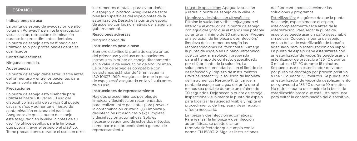# ESPAÑOL

# Indicaciones de uso

La punta de espejo de evacuación de alto volumen Purevac® permite la evacuación, visualización, retracción e iluminación durante los procedimientos dentales. La punta de espejo está destinada a ser utilizada solo por profesionales dentales cualificados.

# Contraindicaciones

Ninguna conocida.

# Advertencias

La punta de espejo debe esterilizarse antes del primer uso y entre los pacientes para evitar la contaminación cruzada.

# Precauciones

La punta de espejo está diseñada para utilizarse hasta 100 veces. El uso del dispositivo más allá de su vida útil puede causar daños y aumentar el riesgo de contaminación cruzada del paciente. Asegúrese de que la punta de espejo esté asegurada en la válvula antes de su uso. No utilice cepillos para la limpieza que puedan rayar el espejo o el plástico. Tome precauciones durante el uso con otros instrumentos dentales para evitar daños al espejo y al plástico. Asegúrese de secar bien las superficies del espejo antes de la esterilización. Deseche la punta de espejo de acuerdo con las normativas de la agencia gubernamental.

#### Reacciones adversas

Ninguna conocida.

#### Instrucciones paso a paso

Siempre esterilice la punta de espejo antes del primer uso y del uso entre pacientes. Introduzca la punta de espejo directamente en la válvula de evacuación de alto volumen. La punta de espejo es compatible con los sistemas estándar de 15 mm según la ISO 10637:1999. Asegúrese de que la punta de espejo esté asegurada en la válvula antes de su uso.

#### Instrucciones de reprocesamiento

Hay dos procedimientos posibles de limpieza y desinfección recomendados para realizar entre pacientes para prevenir la contaminación cruzada: (1) Limpieza y desinfección ultrasónicas o (2) Limpieza y desinfección automáticas. Solo es necesario seguir uno de estos dos métodos como parte del procedimiento general de reprocesamiento

Lugar de aplicación: Apague la succión y retire la punta de espejo de la válvula.

Limpieza y desinfección ultrasónica: Elimine la suciedad visible enjuagando el interior y el exterior de la punta de espejo con agua del grifo que al menos sea potable durante un mínimo de 30 segundos. Prepare una solución de limpieza o desinfección/ limpieza de instrumentos según las recomendaciones del fabricante. Sumerja la punta de espejo en un baño ultrasónico que contenga la solución preparada para el tiempo de contacto especificado por el fabricante de la solución. La soluciones recomendadas son el líquido de desinfección y limpieza de instrumentos PracticeProtect™ y la solución de limpieza de instrumentos Resurge®. Enjuague la punta de espejo con agua del grifo que al menos sea potable durante un mínimo de 30 segundos. Deje secar la punta de espejo. Inspeccione visualmente la punta de espejo para localizar la suciedad visible y repita el procedimiento de limpieza y desinfección si fuera necesario.

Limpieza y desinfección automáticas: Para realizar la limpieza y desinfección automáticas, se puede usar un termodesinfectador que cumpla con la norma EN 15883-2. Siga las instrucciones del fabricante para seleccionar las soluciones y programas.

Esterilización: Asegúrese de que la punta de espejo, especialmente el espejo, esté completamente seca antes de la esterilización. Para secar la punta de espejo, se puede usar un paño desechable sin pelusa. Coloque la punta de espejo en una bolsa de esterilización de tamaño adecuado para la esterilización con vapor. La punta de espejo debe esterilizarse con un esterilizador de vapor. Se puede usar un esterilizador de prevacío a 135 °C durante 3 minutos o 121 °C durante 15 minutos. Se puede usar un esterilizador de vapor por pulso de descarga por presión positivo a 134 °C durante 3,5 minutos. Se puede usar un esterilizador de vapor de desplazamiento por gravedad a 135 °C durante 10 minutos. No retire la punta de espejo de la bolsa de esterilización hasta que esté lista para usar para evitar la contaminación del dispositivo.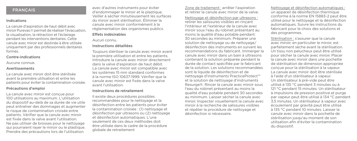# **FRANCAIS**

# Indications

La canule d'aspiration de haut débit avec miroir Purevac® permet de réaliser l'évacuation, la visualisation, la rétraction et l'éclairage pendant les interventions dentaires. Cette canule avec miroir est destinée à être utilisée uniquement par des professionnels dentaires formés.

# Contre-indications

Aucune connue.

# Avertissements

La canule avec miroir doit être stérilisée avant la première utilisation et entre les patients pour éviter la contamination croisée.

# Précautions d'emploi

La canule avec miroir est conçue pour 100 utilisations au maximum. L'utilisation du dispositif au-delà de sa durée de vie utile peut entraîner des dommages et augmenter le risque de contamination croisée entre patients. Vérifier que la canule avec miroir est fixée dans la valve avant l'utilisation. Ne pas utiliser de brosses pour le nettoyage qui pourraient rayer le miroir ou le plastique. Prendre des précautions lors de l'utilisation

avec d'autres instruments pour éviter d'endommager le miroir et le plastique. Veiller à sécher minutieusement les surfaces du miroir avant stérilisation. Éliminer la canule avec miroir conformément à la réglementation des organismes publics.

# Effets indésirables

Aucun connu.

# Instructions détaillées

Toujours stériliser la canule avec miroir avant la première utilisation et entre les patients. Introduire la canule avec miroir directement dans la valve d'aspiration de haut débit. La canule avec miroir est compatible avec les systèmes 15 mm standard conformes à la norme ISO 10637:1999. Vérifier que la canule avec miroir est fixée dans la valve avant l'utilisation.

#### Instructions de retraitement

Il existe deux procédures possibles recommandées pour le nettoyage et la désinfection entre les patients pour éviter la contamination croisée : (1) nettoyage et désinfection par ultrasons ou (2) nettoyage et désinfection automatiques. L'une seulement de ces deux méthodes doit être utilisée dans le cadre de la procédure globale de retraitement

Zone de traitement : arrêter l'aspiration et retirer la canule avec miroir de la valve.

Nettoyage et désinfection par ultrasons : retirer les salissures visibles en rinçant l'intérieur et l'extérieur de la canule avec miroir sous l'eau du robinet présentant au moins la qualité d'eau potable pendant 30 secondes au minimum. Préparer une solution de nettoyage ou de nettoyage/ désinfection des instruments en suivant les recommandations du fabricant. Immerger la canule avec miroir dans un bain à ultrasons contenant la solution préparée pendant la durée de contact spécifiée par le fabricant de la solution. Les solutions recommandées sont le liquide de désinfection et de nettoyage d'instruments PracticeProtect™ et la solution de nettoyage d'instruments Resurge®. Rincer la canule avec miroir sous l'eau du robinet présentant au moins la qualité d'eau potable pendant 30 secondes au minimum. Laisser sécher la canule avec miroir. Inspecter visuellement la canule avec miroir à la recherche de salissures visibles et répéter la procédure de nettoyage et désinfection si nécessaire.

Nettoyage et désinfection automatiques : un appareil de désinfection thermique conforme à la norme EN 15883-2 peut être utilisé pour le nettoyage et la désinfection automatiques. Suivre les instructions du fabricant pour le choix des solutions et des programmes.

Stérilisation : s'assurer que la canule avec miroir, en particulier le miroir, est parfaitement sèche avant la stérilisation. Un tissu non pelucheux peut être utilisé pour sécher la canule avec miroir. Placer la canule avec miroir dans une pochette de stérilisation de dimension appropriée conçue pour la stérilisation à la vapeur. La canule avec miroir doit être stérilisée à l'aide d'un stérilisateur à vapeur. Un stérilisateur à pré-vide peut être utilisé à 135 °C pendant 3 minutes ou à 121 °C pendant 15 minutes. Un stérilisateur à impulsions de pression positive et purge par vapeur peut être utilisé à 134 °C pendant 3,5 minutes. Un stérilisateur à vapeur avec écoulement par gravité peut être utilisé à 135 °C pendant 10 minutes. Laisser la canule avec miroir dans la pochette de stérilisation jusqu'au moment de son utilisation afin d'éviter la contamination du dispositif.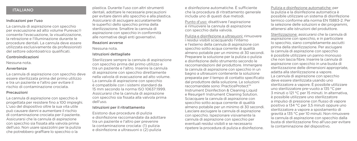# ITALIANO

#### Indicazioni per l'uso

La cannula di aspirazione con specchio per evacuazione ad alto volume Purevac® consente l'evacuazione, la visualizzazione, la retrazione e l'illuminazione durante le procedure dentali. La cannula deve essere utilizzata esclusivamente da professionisti del settore odontoiatrico qualificati.

# Controindicazioni

Nessuna nota.

#### Avvertenze

La cannula di aspirazione con specchio deve essere sterilizzata prima del primo utilizzo e tra un paziente e l'altro per evitare il rischio di contaminazione crociata.

#### Precauzioni

La cannula di aspirazione con specchio è progettata per resistere fino a 100 impieghi. L'uso del dispositivo oltre la sua vita utile può causare danni e aumentare il rischio di contaminazione crociata per il paziente. Assicurarsi che la cannula di aspirazione con specchio sia fissata alla valvola prima dell'uso. Non usare spazzolini per la pulizia che potrebbero graffiare lo specchio o la

plastica. Durante l'uso con altri strumenti dentali, adottare le necessarie precauzioni per evitare danni allo specchio e alla plastica. Assicurarsi di asciugare accuratamente le superfici dello specchio prima della sterilizzazione. Smaltire la cannula di aspirazione con specchio in conformità alle normative degli enti governativi.

# Reazioni avverse

Nessuna nota.

#### Istruzioni dettagliate

Sterilizzare sempre la cannula di aspirazione con specchio prima del primo utilizzo e tra un paziente e l'altro. Inserire la cannula di aspirazione con specchio direttamente nella valvola di evacuazione ad alto volume. La cannula di aspirazione con specchio è compatibile con i sistemi standard da 15 mm secondo la norma ISO 10637:1999. Assicurarsi che la cannula di aspirazione con specchio sia fissata alla valvola prima dell'uso.

# Istruzioni per il ritrattamento

Esistono due procedure di pulizia e disinfezione raccomandate da adottare tra un paziente e l'altro per prevenire la contaminazione crociata: (1) pulizia e disinfezione a ultrasuoni o (2) pulizia

e disinfezione automatiche. È sufficiente che la procedura di ritrattamento generale includa uno di questi due metodi.

Punto d'uso: disattivare l'aspirazione e rimuovere la cannula di aspirazione con specchio dalla valvola.

Pulizia e disinfezione a ultrasuoni: rimuovere i residui visibili sciacquando l'interno e l'esterno della cannula di aspirazione con specchio sotto acqua corrente di qualità almeno potabile per un minimo di 30 secondi. Preparare la soluzione per la pulizia o pulizia e disinfezione dello strumento secondo le raccomandazioni del produttore. Immergere la cannula di aspirazione con specchio in un bagno a ultrasuoni contenente la soluzione preparata per il tempo di contatto specificato dal produttore della soluzione. Le soluzioni raccomandate sono: PracticeProtect™ Instrument Disinfection & Cleaning Liquid e Resurge® Instrument Cleaning Solution. Sciacquare la cannula di aspirazione con specchio sotto acqua corrente di qualità almeno potabile per un minimo di 30 secondi. Lasciare asciugare la cannula di aspirazione con specchio. Ispezionare visivamente la cannula di aspirazione con specchio per eventuali residui visibili e se necessario ripetere la procedura di pulizia e disinfezione.

Pulizia e disinfezione automatiche: per la pulizia e la disinfezione automatica è possibile utilizzare un sistema di disinfezione termico conforme alla norma EN 15883-2. Per la selezione delle soluzioni e dei programmi, attenersi alle istruzioni del produttore.

Sterilizzazione: assicurarsi che la cannula di aspirazione con specchio, e in particolare lo specchio, siano completamente asciutti prima della sterilizzazione. Per asciugare la cannula di aspirazione con specchio è possibile utilizzare un panno monouso che non lascia fibre. Inserire la cannula di aspirazione con specchio in una busta di sterilizzazione delle dimensioni appropriate, adatta alla sterilizzazione a vapore. La cannula di aspirazione con specchio deve essere sterilizzata usando uno sterilizzatore a vapore. È possibile utilizzare uno sterilizzatore pre-vuoto a 135 °C per 3 minuti o 121 °C per 15 minuti. In alternativa, è possibile utilizzare uno sterilizzatore a impulso di pressione con flusso di vapore positivo a 134 °C per 3,5 minuti oppure uno sterilizzatore a vapore a spostamento di gravità a 135 °C per 10 minuti. Non rimuovere la cannula di aspirazione con specchio dalla busta di sterilizzazione fino all'uso per evitare la contaminazione del dispositivo.